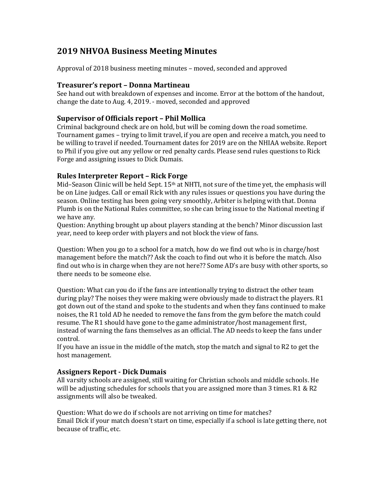# **2019 NHVOA Business Meeting Minutes**

Approval of 2018 business meeting minutes – moved, seconded and approved

## **Treasurer's report – Donna Martineau**

See hand out with breakdown of expenses and income. Error at the bottom of the handout, change the date to Aug. 4, 2019. - moved, seconded and approved

## **Supervisor of Officials report – Phil Mollica**

Criminal background check are on hold, but will be coming down the road sometime. Tournament games - trying to limit travel, if you are open and receive a match, you need to be willing to travel if needed. Tournament dates for 2019 are on the NHIAA website. Report to Phil if you give out any yellow or red penalty cards. Please send rules questions to Rick Forge and assigning issues to Dick Dumais.

## **Rules Interpreter Report – Rick Forge**

Mid–Season Clinic will be held Sept.  $15<sup>th</sup>$  at NHTI, not sure of the time yet, the emphasis will be on Line judges. Call or email Rick with any rules issues or questions you have during the season. Online testing has been going very smoothly, Arbiter is helping with that. Donna Plumb is on the National Rules committee, so she can bring issue to the National meeting if we have any.

Question: Anything brought up about players standing at the bench? Minor discussion last year, need to keep order with players and not block the view of fans.

Question: When you go to a school for a match, how do we find out who is in charge/host management before the match?? Ask the coach to find out who it is before the match. Also find out who is in charge when they are not here?? Some AD's are busy with other sports, so there needs to be someone else.

Question: What can you do if the fans are intentionally trying to distract the other team during play? The noises they were making were obviously made to distract the players. R1 got down out of the stand and spoke to the students and when they fans continued to make noises, the R1 told AD he needed to remove the fans from the gym before the match could resume. The R1 should have gone to the game administrator/host management first, instead of warning the fans themselves as an official. The AD needs to keep the fans under control. 

If you have an issue in the middle of the match, stop the match and signal to R2 to get the host management.

# **Assigners Report - Dick Dumais**

All varsity schools are assigned, still waiting for Christian schools and middle schools. He will be adjusting schedules for schools that you are assigned more than 3 times.  $R1 & R2$ assignments will also be tweaked.

Question: What do we do if schools are not arriving on time for matches? Email Dick if your match doesn't start on time, especially if a school is late getting there, not because of traffic, etc.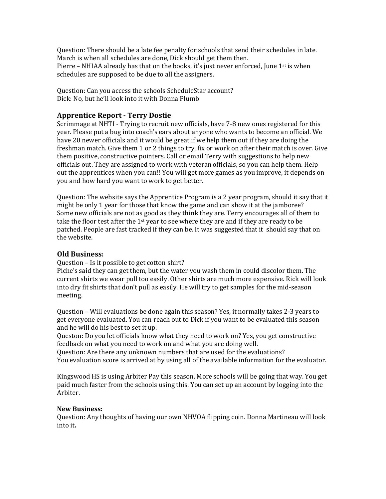Question: There should be a late fee penalty for schools that send their schedules in late. March is when all schedules are done, Dick should get them then. Pierre – NHIAA already has that on the books, it's just never enforced, June 1<sup>st</sup> is when schedules are supposed to be due to all the assigners.

Question: Can you access the schools ScheduleStar account? Dick: No, but he'll look into it with Donna Plumb

## **Apprentice Report - Terry Dostie**

Scrimmage at NHTI - Trying to recruit new officials, have 7-8 new ones registered for this year. Please put a bug into coach's ears about anyone who wants to become an official. We have 20 newer officials and it would be great if we help them out if they are doing the freshman match. Give them 1 or 2 things to try, fix or work on after their match is over. Give them positive, constructive pointers. Call or email Terry with suggestions to help new officials out. They are assigned to work with veteran officials, so you can help them. Help out the apprentices when you can!! You will get more games as you improve, it depends on you and how hard you want to work to get better.

Question: The website says the Apprentice Program is a 2 year program, should it say that it might be only 1 year for those that know the game and can show it at the jamboree? Some new officials are not as good as they think they are. Terry encourages all of them to take the floor test after the  $1<sup>st</sup>$  year to see where they are and if they are ready to be patched. People are fast tracked if they can be. It was suggested that it should say that on the website.

## **Old Business:**

Question – Is it possible to get cotton shirt?

Piche's said they can get them, but the water you wash them in could discolor them. The current shirts we wear pull too easily. Other shirts are much more expensive. Rick will look into dry fit shirts that don't pull as easily. He will try to get samples for the mid-season meeting.

Question - Will evaluations be done again this season? Yes, it normally takes 2-3 years to get everyone evaluated. You can reach out to Dick if you want to be evaluated this season and he will do his best to set it up.

Queston: Do you let officials know what they need to work on? Yes, you get constructive feedback on what you need to work on and what you are doing well.

Question: Are there any unknown numbers that are used for the evaluations? You evaluation score is arrived at by using all of the available information for the evaluator.

Kingswood HS is using Arbiter Pay this season. More schools will be going that way. You get paid much faster from the schools using this. You can set up an account by logging into the Arbiter.

## **New Business:**

Question: Any thoughts of having our own NHVOA flipping coin. Donna Martineau will look into it**.**